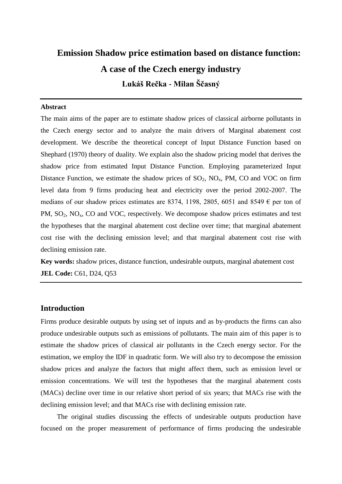# **Emission Shadow price estimation based on distance function: A case of the Czech energy industry Lukáš Rečka - Milan Ščasný**

#### **Abstract**

The main aims of the paper are to estimate shadow prices of classical airborne pollutants in the Czech energy sector and to analyze the main drivers of Marginal abatement cost development. We describe the theoretical concept of Input Distance Function based on Shephard (1970) theory of duality. We explain also the shadow pricing model that derives the shadow price from estimated Input Distance Function. Employing parameterized Input Distance Function, we estimate the shadow prices of  $SO_2$ ,  $NO<sub>x</sub>$ , PM, CO and VOC on firm level data from 9 firms producing heat and electricity over the period 2002-2007. The medians of our shadow prices estimates are 8374, 1198, 2805, 6051 and 8549  $\epsilon$  per ton of PM,  $SO_2$ ,  $NO_x$ ,  $CO$  and  $VOC$ , respectively. We decompose shadow prices estimates and test the hypotheses that the marginal abatement cost decline over time; that marginal abatement cost rise with the declining emission level; and that marginal abatement cost rise with declining emission rate.

**Key words:** shadow prices, distance function, undesirable outputs, marginal abatement cost **JEL Code: C61, D24, Q53** 

## **Introduction**

Firms produce desirable outputs by using set of inputs and as by-products the firms can also produce undesirable outputs such as emissions of pollutants. The main aim of this paper is to estimate the shadow prices of classical air pollutants in the Czech energy sector. For the estimation, we employ the IDF in quadratic form. We will also try to decompose the emission shadow prices and analyze the factors that might affect them, such as emission level or emission concentrations. We will test the hypotheses that the marginal abatement costs (MACs) decline over time in our relative short period of six years; that MACs rise with the declining emission level; and that MACs rise with declining emission rate.

The original studies discussing the effects of undesirable outputs production have focused on the proper measurement of performance of firms producing the undesirable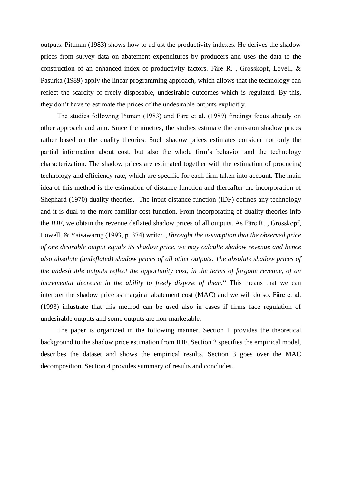outputs. Pittman (1983) shows how to adjust the productivity indexes. He derives the shadow prices from survey data on abatement expenditures by producers and uses the data to the construction of an enhanced index of productivity factors. Färe R. , Grosskopf, Lovell, & Pasurka (1989) apply the linear programming approach, which allows that the technology can reflect the scarcity of freely disposable, undesirable outcomes which is regulated. By this, they don't have to estimate the prices of the undesirable outputs explicitly.

The studies following Pitman (1983) and Färe et al. (1989) findings focus already on other approach and aim. Since the nineties, the studies estimate the emission shadow prices rather based on the duality theories. Such shadow prices estimates consider not only the partial information about cost, but also the whole firm's behavior and the technology characterization. The shadow prices are estimated together with the estimation of producing technology and efficiency rate, which are specific for each firm taken into account. The main idea of this method is the estimation of distance function and thereafter the incorporation of Shephard (1970) duality theories. The input distance function (IDF) defines any technology and it is dual to the more familiar cost function. From incorporating of duality theories info the *IDF*, we obtain the revenue deflated shadow prices of all outputs. As Färe R. , Grosskopf, Lowell, & Yaisawarng (1993, p. 374) write: "*Throught the assumption that the observed price of one desirable output equals its shadow price, we may calculte shadow revenue and hence also absolute (undeflated) shadow prices of all other outputs. The absolute shadow prices of the undesirable outputs reflect the opportunity cost, in the terms of forgone revenue, of an incremental decrease in the ability to freely dispose of them.*" This means that we can interpret the shadow price as marginal abatement cost (MAC) and we will do so. Färe et al. (1993) inlustrate that this method can be used also in cases if firms face regulation of undesirable outputs and some outputs are non-marketable.

The paper is organized in the following manner. Section 1 provides the theoretical background to the shadow price estimation from IDF. Section 2 specifies the empirical model, describes the dataset and shows the empirical results. Section 3 goes over the MAC decomposition. Section 4 provides summary of results and concludes.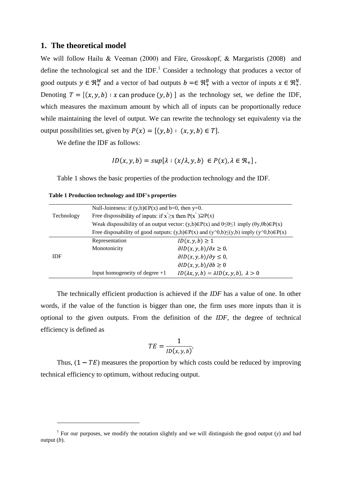### **1. The theoretical model**

We will follow Hailu & Veeman (2000) and Färe, Grosskopf, & Margaristis (2008) and define the technological set and the IDF.<sup>1</sup> Consider a technology that produces a vector of good outputs  $y \in \mathbb{R}^M_+$  and a vector of bad outputs  $b = \in \mathbb{R}^B_+$  with a vector of inputs  $x \in \mathbb{R}^N_+$ . Denoting  $T = [(x, y, b) : x \text{ can produce } (y, b)]$  as the technology set, we define the IDF, which measures the maximum amount by which all of inputs can be proportionally reduce while maintaining the level of output. We can rewrite the technology set equivalenty via the output possibilities set, given by  $P(x) = [(y, b) : (x, y, b) \in T]$ .

We define the IDF as follows:

$$
ID(x, y, b) = sup[\lambda : (x/\lambda, y, b) \in P(x), \lambda \in \mathbb{R}_+],
$$

[Table 1](#page-2-0) shows the basic properties of the production technology and the IDF.

|            | Null-Jointness: if $(y,b) \in P(x)$ and b=0, then y=0.                                                                   |                                                                                                                    |  |  |  |  |  |  |
|------------|--------------------------------------------------------------------------------------------------------------------------|--------------------------------------------------------------------------------------------------------------------|--|--|--|--|--|--|
| Technology | Free dispossibility of inputs: if $x \ge x$ then $P(x') \supseteq P(x)$                                                  |                                                                                                                    |  |  |  |  |  |  |
|            | Weak dispossibility of an output vector: $(y,b) \in P(x)$ and $0 \le \theta \le 1$ imply $(\theta y, \theta b) \in P(x)$ |                                                                                                                    |  |  |  |  |  |  |
|            |                                                                                                                          | Free disposability of good outputs: $(y,b) \in P(x)$ and $(y \land 0,b) \leq (y,b)$ imply $(y \land 0,b) \in P(x)$ |  |  |  |  |  |  |
|            | Representation                                                                                                           | $ID(x, y, b) \geq 1$                                                                                               |  |  |  |  |  |  |
|            | Monotonicity                                                                                                             | $\partial ID(x, y, b)/\partial x \geq 0$ ,                                                                         |  |  |  |  |  |  |
| <b>IDF</b> |                                                                                                                          | $\partial ID(x, y, b)/\partial y \leq 0$ ,                                                                         |  |  |  |  |  |  |
|            |                                                                                                                          | $\partial ID(x, y, b)/\partial b \geq 0$                                                                           |  |  |  |  |  |  |
|            | Input homogeneity of degree $+1$                                                                                         | $ID(\lambda x, y, b) = \lambda ID(x, y, b), \lambda > 0$                                                           |  |  |  |  |  |  |

<span id="page-2-0"></span>

| Table 1 Production technology and IDF's properties |  |  |  |
|----------------------------------------------------|--|--|--|
|----------------------------------------------------|--|--|--|

The technically efficient production is achieved if the *IDF* has a value of one. In other words, if the value of the function is bigger than one, the firm uses more inputs than it is optional to the given outputs. From the definition of the *IDF*, the degree of technical efficiency is defined as

$$
TE = \frac{1}{ID(x, y, b)}.
$$

Thus,  $(1 - TE)$  measures the proportion by which costs could be reduced by improving technical efficiency to optimum, without reducing output.

<sup>&</sup>lt;sup>1</sup> For our purposes, we modify the notation slightly and we will distinguish the good output (*y*) and bad output (*b*).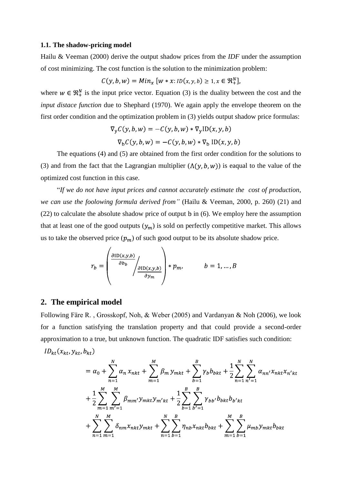#### **1.1. The shadow-pricing model**

Hailu & Veeman (2000) derive the output shadow prices from the *IDF* under the assumption of cost minimizing. The cost function is the solution to the minimization problem:

$$
C(y, b, w) = Min_{x} [w * x : ID(x, y, b) \ge 1, x \in \mathfrak{R}^{N}_{+}],
$$

where  $w \in \mathbb{R}_+^N$  is the input price vector. Equation (3) is the duality between the cost and the *input distace function* due to Shephard (1970). We again apply the envelope theorem on the first order condition and the optimization problem in (3) yields output shadow price formulas:

$$
\nabla_{\mathbf{y}} C(\mathbf{y}, b, w) = -C(\mathbf{y}, b, w) * \nabla_{\mathbf{y}} \text{ID}(x, \mathbf{y}, b)
$$

$$
\nabla_{\mathbf{b}} C(\mathbf{y}, b, w) = -C(\mathbf{y}, b, w) * \nabla_{\mathbf{b}} \text{ ID}(x, \mathbf{y}, b)
$$

The equations (4) and (5) are obtained from the first order condition for the solutions to **5)** (3) and from the fact that the Lagrangian multiplier  $(\Lambda(y, b, w))$  is eagual to the value of the optimized cost function in this case.

"*If we do not have input prices and cannot accurately estimate the cost of production, we can use the foolowing formula derived from"* (Hailu & Veeman, 2000, p. 260) (21) and  $(22)$  to calculate the absolute shadow price of output b in  $(6)$ . We employ here the assumption that at least one of the good outputs  $(y_m)$  is sold on perfectly competitive market. This allows us to take the observed price  $(p_m)$  of such good output to be its absolute shadow price.

$$
r_b = \left(\frac{\frac{\partial \text{ID}(x, y, b)}{\partial b_b}}{\frac{\partial \text{ID}(x, y, b)}{\partial y_m}}\right) * p_m, \qquad b = 1, ..., B
$$

# **2. The empirical model**

Following Färe R. , Grosskopf, Noh, & Weber (2005) and Vardanyan & Noh (2006), we look for a function satisfying the translation property and that could provide a second-order approximation to a true, but unknown function. The quadratic IDF satisfies such condition:

$$
ID_{kt}(x_{kt}, y_{kt}, b_{kt})
$$

$$
= \alpha_0 + \sum_{n=1}^{N} \alpha_n x_{nkt} + \sum_{m=1}^{M} \beta_m y_{mkt} + \sum_{b=1}^{B} \gamma_b b_{bkt} + \frac{1}{2} \sum_{n=1}^{N} \sum_{n'=1}^{N} \alpha_{nn'} x_{nkt} x_{n'kt} + \frac{1}{2} \sum_{m=1}^{M} \sum_{m'=1}^{M} \beta_{mm'} y_{mkt} y_{m'kt} + \frac{1}{2} \sum_{b=1}^{B} \sum_{b'=1}^{B} \gamma_{bb'} b_{bkt} b_{b'kt} + \sum_{n=1}^{N} \sum_{m=1}^{M} \delta_{nm} x_{nkt} y_{mkt} + \sum_{n=1}^{N} \sum_{b=1}^{B} \eta_{nb} x_{nkt} b_{bkt} + \sum_{m=1}^{M} \sum_{b=1}^{B} \mu_{mb} y_{mkt} b_{bkt}
$$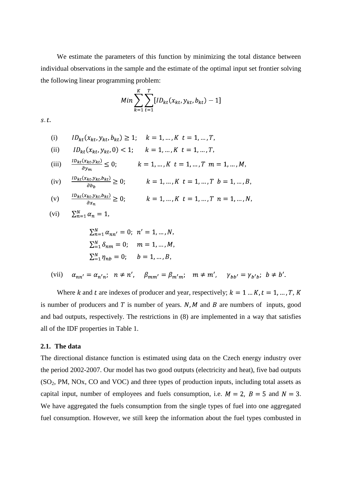We estimate the parameters of this function by minimizing the total distance between individual observations in the sample and the estimate of the optimal input set frontier solving the following linear programming problem:

$$
Min \sum_{k=1}^{K} \sum_{t=1}^{T} [ID_{kt}(x_{kt}, y_{kt}, b_{kt}) - 1]
$$

 $s.t.$ 

(i) 
$$
ID_{kt}(x_{kt}, y_{kt}, b_{kt}) \ge 1
$$
;  $k = 1, ..., K$   $t = 1, ..., T$ ,

(ii) 
$$
ID_{kt}(x_{kt}, y_{kt}, 0) < 1;
$$
  $k = 1, ..., K$   $t = 1, ..., T,$ 

(iii) 
$$
\frac{1D_{kt}(x_{kt}, y_{kt})}{\partial y_m} \le 0; \qquad k = 1, ..., K \ t = 1, ..., T \ m = 1, ..., M,
$$

(iv) 
$$
\frac{1D_{kt}(x_{kt}, y_{kt}, b_{kt})}{\partial b_b} \ge 0; \qquad k = 1, ..., K \ t = 1, ..., T \ b = 1, ..., B,
$$

(v) 
$$
\frac{1D_{kt}(x_{kt}, y_{kt}, b_{kt})}{\partial x_n} \ge 0; \qquad k = 1, ..., K \ t = 1, ..., T \ n = 1, ..., N,
$$

$$
(vi) \qquad \sum_{n=1}^{N} \alpha_n = 1,
$$

 $\overline{\phantom{a}}$ 

$$
\sum_{n=1}^{N} \alpha_{nn'} = 0; \ \ n' = 1, ..., N,
$$
  

$$
\sum_{n=1}^{N} \delta_{nm} = 0; \quad m = 1, ..., M,
$$
  

$$
\sum_{n=1}^{N} \eta_{nb} = 0; \quad b = 1, ..., B,
$$

 $\alpha_{nn'} = \alpha_{n'n}; \quad n \neq n', \quad \beta_{mm'} = \beta_{m'm}; \quad m \neq m', \quad \gamma_{bb'} = \gamma_{b'b}; \quad b \neq b'.$ (vii)

Where k and t are indexes of producer and year, respectively;  $k = 1...K$ ,  $t = 1,...,T$ , K is number of producers and  $T$  is number of years.  $N$ ,  $M$  and  $B$  are numbers of inputs, good and bad outputs, respectively. The restrictions in (8) are implemented in a way that satisfies all of the IDF properties in Table 1.

#### **2.1. The data**

The directional distance function is estimated using data on the Czech energy industry over the period 2002-2007. Our model has two good outputs (electricity and heat), five bad outputs  $(SO<sub>2</sub>, PM, NOx, CO and VOC)$  and three types of production inputs, including total assets as capital input, number of employees and fuels consumption, i.e.  $M = 2$ ,  $B = 5$  and  $N = 3$ . We have aggregated the fuels consumption from the single types of fuel into one aggregated fuel consumption. However, we still keep the information about the fuel types combusted in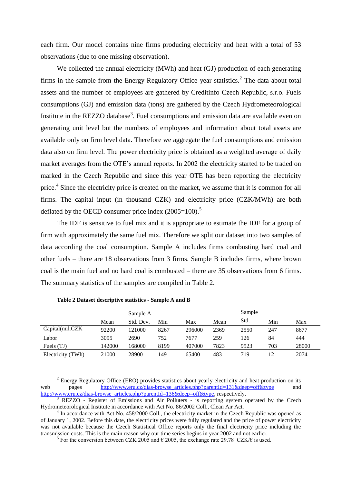each firm. Our model contains nine firms producing electricity and heat with a total of 53 observations (due to one missing observation).

We collected the annual electricity (MWh) and heat (GJ) production of each generating firms in the sample from the Energy Regulatory Office year statistics.<sup>2</sup> The data about total assets and the number of employees are gathered by Creditinfo Czech Republic, s.r.o. Fuels consumptions (GJ) and emission data (tons) are gathered by the Czech Hydrometeorological Institute in the REZZO database<sup>3</sup>. Fuel consumptions and emission data are available even on generating unit level but the numbers of employees and information about total assets are available only on firm level data. Therefore we aggregate the fuel consumptions and emission data also on firm level. The power electricity price is obtained as a weighted average of daily market averages from the OTE's annual reports. In 2002 the electricity started to be traded on marked in the Czech Republic and since this year OTE has been reporting the electricity price.<sup>4</sup> Since the electricity price is created on the market, we assume that it is common for all firms. The capital input (in thousand CZK) and electricity price (CZK/MWh) are both deflated by the OECD consumer price index  $(2005=100)$ .<sup>5</sup>

The IDF is sensitive to fuel mix and it is appropriate to estimate the IDF for a group of firm with approximately the same fuel mix. Therefore we split our dataset into two samples of data according the coal consumption. Sample A includes firms combusting hard coal and other fuels – there are 18 observations from 3 firms. Sample B includes firms, where brown coal is the main fuel and no hard coal is combusted – there are 35 observations from 6 firms. The summary statistics of the samples are compiled in Table 2.

|                   |        | Sample A  |      |        |      | Sample |     |       |
|-------------------|--------|-----------|------|--------|------|--------|-----|-------|
|                   | Mean   | Std. Dev. | Min  | Max    | Mean | Std.   | Min | Max   |
| Capital(mil.CZK)  | 92200  | 121000    | 8267 | 296000 | 2369 | 2550   | 247 | 8677  |
| Labor             | 3095   | 2690      | 752  | 7677   | 259  | 126    | 84  | 444   |
| Fuels (TJ)        | 142000 | 168000    | 8199 | 407000 | 7823 | 9523   | 703 | 28000 |
| Electricity (TWh) | 21000  | 28900     | 149  | 65400  | 483  | 719    | 12  | 2074  |

**Table 2 Dataset descriptive statistics - Sample A and B**

 $\overline{a}$ 

 $2$  Energy Regulatory Office (ERO) provides statistics about yearly electricity and heat production on its web pages http://www.eru.cz/dias-browse articles.php?parentId=131&deep=off&type and [http://www.eru.cz/dias-browse\\_articles.php?parentId=136&deep=off&type,](http://www.eru.cz/dias-browse_articles.php?parentId=136&deep=off&type) respectively.

REZZO - Register of Emissions and Air Polluters - is reporting system operated by the Czech Hydrometeorological Institute in accordance with Act No. 86/2002 Coll., Clean Air Act.

<sup>&</sup>lt;sup>4</sup> In accordance with Act No. 458/2000 Coll., the electricity market in the Czech Republic was opened as of January 1, 2002. Before this date, the electricity prices were fully regulated and the price of power electricity was not available because the Czech Statistical Office reports only the final electricity price including the transmission costs. This is the main reason why our time series begins in year 2002 and not earlier.

<sup>&</sup>lt;sup>5</sup> For the conversion between CZK 2005 and  $\epsilon$  2005, the exchange rate 29.78 CZK/ $\epsilon$  is used.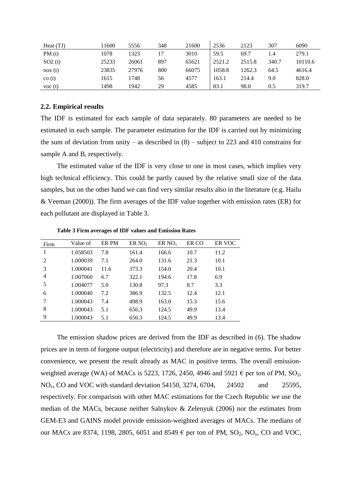| Heat(TJ)                 | 11600 | 5556  | 348 | 21600 | 2536   | 2123   | 307   | 6090    |
|--------------------------|-------|-------|-----|-------|--------|--------|-------|---------|
| PM(t)                    | 1078  | 1323  | 17  | 3010  | 59.5   | 69.7   | 1.4   | 279.1   |
| SO2(t)                   | 25233 | 26061 | 897 | 65621 | 2521.2 | 2515.8 | 340.7 | 10110.6 |
| $\cos(t)$                | 23835 | 27976 | 800 | 66075 | 1058.8 | 1262.3 | 64.5  | 4616.4  |
| $\cos(t)$                | 1615  | 1748  | 56  | 4577  | 163.1  | 214.4  | 9.0   | 828.0   |
| $\overline{v}$ voc $(t)$ | 1498  | 1942  | 29  | 4585  | 83.1   | 98.0   | 0.5   | 319.7   |

#### **2.2. Empirical results**

The IDF is estimated for each sample of data separately. 80 parameters are needed to be estimated in each sample. The parameter estimation for the IDF is carried out by minimizing the sum of deviation from unity – as described in  $(8)$  – subject to 223 and 410 constrains for sample A and B, respectively.

The estimated value of the IDF is very close to one in most cases, which implies very high technical efficiency. This could be partly caused by the relative small size of the data samples, but on the other hand we can find very similar results also in the literature (e.g. Hailu & Veeman (2000)). The firm averages of the IDF value together with emission rates (ER) for each pollutant are displayed in [Table 3.](#page-6-0)

<span id="page-6-0"></span>

| Firm | Value of | ER PM | ER SO <sub>2</sub> | ER NO <sub>x</sub> | ER CO | ER VOC |
|------|----------|-------|--------------------|--------------------|-------|--------|
| 1    | 1.058503 | 7.8   | 161.4              | 166.6              | 10.7  | 11.2   |
| 2    | 1.000039 | 7.1   | 264.0              | 131.6              | 21.3  | 10.1   |
| 3    | 1.000041 | 11.6  | 373.3              | 154.0              | 20.4  | 10.1   |
| 4    | 1.007060 | 6.7   | 322.1              | 194.6              | 17.8  | 6.9    |
| 5    | 1.004077 | 5.0   | 130.8              | 97.3               | 8.7   | 3.3    |
| 6    | 1.000040 | 7.2   | 386.9              | 132.5              | 12.4  | 12.1   |
| 7    | 1.000043 | 7.4   | 498.9              | 163.0              | 15.3  | 15.6   |
| 8    | 1.000043 | 5.1   | 656.3              | 124.5              | 49.9  | 13.4   |
| 9    | 1.000043 | 5.1   | 656.3              | 124.5              | 49.9  | 13.4   |

**Table 3 Firm averages of IDF values and Emission Rates**

The emission shadow prices are derived from the IDF as described in (6). The shadow prices are in term of forgone output (electricity) and therefore are in negative terms. For better convenience, we present the result already as MAC in positive terms. The overall emissionweighted average (WA) of MACs is 5223, 1726, 2450, 4946 and 5921  $\epsilon$  per ton of PM, SO<sub>2</sub>, NO<sub>x</sub>, CO and VOC with standard deviation 54150, 3274, 6704, 24502 and 25595, respectively. For comparison with other MAC estimations for the Czech Republic we use the median of the MACs, because neither Salnykov & Zelenyuk (2006) nor the estimates from GEM-E3 and GAINS model provide emission-weighted averages of MACs. The medians of our MACs are 8374, 1198, 2805, 6051 and 8549  $\epsilon$  per ton of PM, SO<sub>2</sub>, NO<sub>x</sub>, CO and VOC,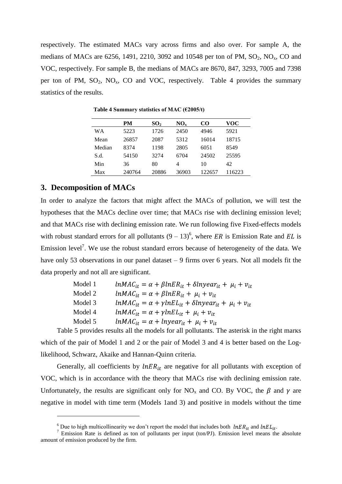respectively. The estimated MACs vary across firms and also over. For sample A, the medians of MACs are 6256, 1491, 2210, 3092 and 10548 per ton of PM,  $SO_2$ ,  $NO_x$ , CO and VOC, respectively. For sample B, the medians of MACs are 8670, 847, 3293, 7005 and 7398 per ton of PM,  $SO_2$ ,  $NO_x$ , CO and VOC, respectively. Table 4 provides the summary statistics of the results.

|        | PM     | SO <sub>2</sub> | $NO_{v}$ | CO     | VOC   |
|--------|--------|-----------------|----------|--------|-------|
| WА     | 5223   | 1726            | 2450     | 4946   | 5921  |
| Mean   | 26857  | 2087            | 5312     | 16014  | 18715 |
| Median | 8374   | 1198            | 2805     | 6051   | 8549  |
| S.d.   | 54150  | 3274            | 6704     | 24502  | 25595 |
| Min    | 36     | 80              | 4        | 10     | 42    |
| Max    | 240764 | 20886           | 36903    | 122657 | 16223 |

**Table 4 Summary statistics of MAC (€2005/t)**

# **3. Decomposition of MACs**

 $\overline{a}$ 

In order to analyze the factors that might affect the MACs of pollution, we will test the hypotheses that the MACs decline over time; that MACs rise with declining emission level; and that MACs rise with declining emission rate. We run following five Fixed-effects models with robust standard errors for all pollutants  $(9 - 13)^6$ , where ER is Emission Rate and EL is Emission level<sup>7</sup>. We use the robust standard errors because of heterogeneity of the data. We have only 53 observations in our panel dataset – 9 firms over 6 years. Not all models fit the data properly and not all are significant.

| Model 1 | $lnMAC_{it} = \alpha + \beta lnER_{it} + \delta lnyear_{it} + \mu_i + \nu_{it}$  |
|---------|----------------------------------------------------------------------------------|
| Model 2 | $lnMAC_{it} = \alpha + \beta lnER_{it} + \mu_i + \nu_{it}$                       |
| Model 3 | $lnMAC_{it} = \alpha + \gamma lnEL_{it} + \delta lnyear_{it} + \mu_i + \nu_{it}$ |
| Model 4 | $lnMAC_{it} = \alpha + \gamma lnEL_{it} + \mu_i + \nu_{it}$                      |
| Model 5 | $lnMAC_{it} = \alpha + lnyear_{it} + \mu_i + v_{it}$                             |
|         |                                                                                  |

[Table 5](#page-8-0) provides results all the models for all pollutants. The asterisk in the right marks **13)**which of the pair of Model 1 and 2 or the pair of Model 3 and 4 is better based on the Loglikelihood, Schwarz, Akaike and Hannan-Quinn criteria.

Generally, all coefficients by  $lnER_{it}$  are negative for all pollutants with exception of VOC, which is in accordance with the theory that MACs rise with declining emission rate. Unfortunately, the results are significant only for NO<sub>x</sub> and CO. By VOC, the  $\beta$  and  $\gamma$  are negative in model with time term (Models 1and 3) and positive in models without the time

<sup>&</sup>lt;sup>6</sup> Due to high multicollinearity we don't report the model that includes both  $lnER_{it}$  and  $lnEL_{it}$ .

 $\frac{1}{2}$  Emission Rate is defined as ton of pollutants per input (ton/PJ). Emission level means the absolute amount of emission produced by the firm.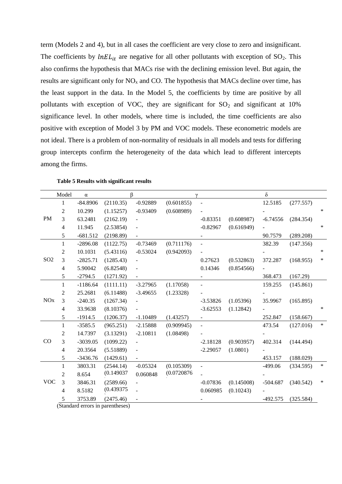term (Models 2 and 4), but in all cases the coefficient are very close to zero and insignificant. The coefficients by  $lnEL_{it}$  are negative for all other pollutants with exception of SO<sub>2</sub>. This also confirms the hypothesis that MACs rise with the declining emission level. But again, the results are significant only for  $NO<sub>x</sub>$  and CO. The hypothesis that MACs decline over time, has the least support in the data. In the Model 5, the coefficients by time are positive by all pollutants with exception of VOC, they are significant for  $SO<sub>2</sub>$  and significant at 10% significance level. In other models, where time is included, the time coefficients are also positive with exception of Model 3 by PM and VOC models. These econometric models are not ideal. There is a problem of non-normality of residuals in all models and tests for differing group intercepts confirm the heterogeneity of the data which lead to different intercepts among the firms.

<span id="page-8-0"></span>

|                 | Model          | $\alpha$   |               | ß              |             |                          |            | $\delta$   |           |        |
|-----------------|----------------|------------|---------------|----------------|-------------|--------------------------|------------|------------|-----------|--------|
|                 | 1              | $-84.8906$ | (2110.35)     | $-0.92889$     | (0.601855)  | $\blacksquare$           |            | 12.5185    | (277.557) |        |
|                 | 2              | 10.299     | (1.15257)     | $-0.93409$     | (0.608989)  |                          |            |            |           | $\ast$ |
| <b>PM</b>       | 3              | 63.2481    | (2162.19)     |                |             | $-0.83351$               | (0.608987) | $-6.74556$ | (284.354) |        |
|                 | $\overline{4}$ | 11.945     | (2.53854)     |                |             | $-0.82967$               | (0.616949) |            |           | $\ast$ |
|                 | 5              | $-681.512$ | (2198.89)     |                |             |                          |            | 90.7579    | (289.208) |        |
|                 | 1              | $-2896.08$ | (1122.75)     | $-0.73469$     | (0.711176)  | $\overline{\phantom{a}}$ |            | 382.39     | (147.356) |        |
| SO <sub>2</sub> | 2              | 10.1031    | (5.43116)     | $-0.53024$     | (0.942093)  |                          |            |            |           | $\ast$ |
|                 | 3              | $-2825.71$ | (1285.43)     |                |             | 0.27623                  | (0.532863) | 372.287    | (168.955) | $\ast$ |
|                 | 4              | 5.90042    | (6.82548)     |                |             | 0.14346                  | (0.854566) |            |           |        |
|                 | 5              | $-2794.5$  | (1271.92)     |                |             |                          |            | 368.473    | (167.29)  |        |
|                 | $\mathbf{1}$   | $-1186.64$ | (1111.11)     | $-3.27965$     | (1.17058)   |                          |            | 159.255    | (145.861) |        |
|                 | 2              | 25.2681    | (6.11488)     | $-3.49655$     | (1.23328)   |                          |            |            |           |        |
| <b>NO</b> x     | 3              | $-240.35$  | (1267.34)     |                |             | $-3.53826$               | (1.05396)  | 35.9967    | (165.895) |        |
|                 | 4              | 33.9638    | (8.10376)     |                |             | $-3.62553$               | (1.12842)  |            |           | $\ast$ |
|                 | 5              | $-1914.5$  | (1206.37)     | $-1.10489$     | (1.43257)   | $\overline{\phantom{a}}$ |            | 252.847    | (158.667) |        |
|                 | 1              | $-3585.5$  | (965.251)     | $-2.15888$     | (0.909945)  | $\overline{\phantom{a}}$ |            | 473.54     | (127.016) | $\ast$ |
|                 | $\overline{c}$ | 14.7397    | (3.13291)     | $-2.10811$     | (1.08498)   |                          |            |            |           |        |
| CO              | 3              | $-3039.05$ | (1099.22)     |                |             | $-2.18128$               | (0.903957) | 402.314    | (144.494) |        |
|                 | 4              | 20.3564    | (5.51889)     |                |             | $-2.29057$               | (1.0801)   |            |           |        |
|                 | 5              | $-3436.76$ | (1429.61)     | $\blacksquare$ |             |                          |            | 453.157    | (188.029) |        |
|                 | $\mathbf{1}$   | 3803.31    | (2544.14)     | $-0.05324$     | (0.105309)  |                          |            | $-499.06$  | (334.595) | $\ast$ |
|                 | $\overline{c}$ | 8.654      | (0.149037)    | 0.060848       | (0.0720876) |                          |            |            |           |        |
| <b>VOC</b>      | $\mathfrak{Z}$ | 3846.31    | (2589.66)     |                |             | $-0.07836$               | (0.145008) | $-504.687$ | (340.542) | ∗      |
|                 | 4              | 8.5182     | (0.439375)    |                |             | 0.060985                 | (0.10243)  |            |           |        |
|                 | 5              | 3753.89    | (2475.46)     |                |             |                          |            | $-492.575$ | (325.584) |        |
|                 |                |            | $(Standard\)$ |                |             |                          |            |            |           |        |

**Table 5 Results with significant results**

(Standard errors in parentheses)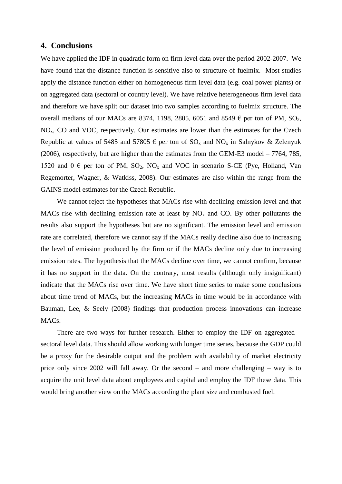# **4. Conclusions**

We have applied the IDF in quadratic form on firm level data over the period 2002-2007. We have found that the distance function is sensitive also to structure of fuelmix. Most studies apply the distance function either on homogeneous firm level data (e.g. coal power plants) or on aggregated data (sectoral or country level). We have relative heterogeneous firm level data and therefore we have split our dataset into two samples according to fuelmix structure. The overall medians of our MACs are 8374, 1198, 2805, 6051 and 8549  $\epsilon$  per ton of PM, SO<sub>2</sub>,  $NO<sub>x</sub>$ , CO and VOC, respectively. Our estimates are lower than the estimates for the Czech Republic at values of 5485 and 57805  $\epsilon$  per ton of SO<sub>x</sub> and NO<sub>x</sub> in Salnykov & Zelenyuk (2006), respectively, but are higher than the estimates from the GEM-E3 model – 7764, 785, 1520 and  $0 \in \text{per}$  ton of PM, SO<sub>2</sub>, NO<sub>x</sub> and VOC in scenario S-CE (Pye, Holland, Van Regemorter, Wagner, & Watkiss, 2008). Our estimates are also within the range from the GAINS model estimates for the Czech Republic.

We cannot reject the hypotheses that MACs rise with declining emission level and that MACs rise with declining emission rate at least by  $NO<sub>x</sub>$  and CO. By other pollutants the results also support the hypotheses but are no significant. The emission level and emission rate are correlated, therefore we cannot say if the MACs really decline also due to increasing the level of emission produced by the firm or if the MACs decline only due to increasing emission rates. The hypothesis that the MACs decline over time, we cannot confirm, because it has no support in the data. On the contrary, most results (although only insignificant) indicate that the MACs rise over time. We have short time series to make some conclusions about time trend of MACs, but the increasing MACs in time would be in accordance with Bauman, Lee, & Seely (2008) findings that production process innovations can increase MAC<sub>s</sub>.

There are two ways for further research. Either to employ the IDF on aggregated – sectoral level data. This should allow working with longer time series, because the GDP could be a proxy for the desirable output and the problem with availability of market electricity price only since 2002 will fall away. Or the second – and more challenging – way is to acquire the unit level data about employees and capital and employ the IDF these data. This would bring another view on the MACs according the plant size and combusted fuel.